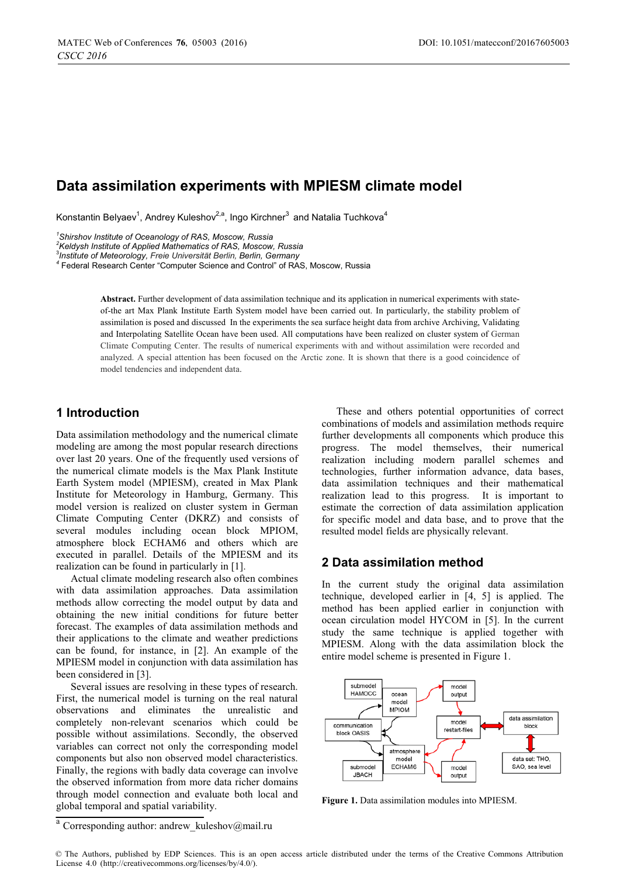# **Data assimilation experiments with MPIESM climate model**

Konstantin Belyaev $^1$ , Andrey Kuleshov $^{2,a}$ , Ingo Kirchner $^3$  and Natalia Tuchkova $^4$ 

*1 Shirshov Institute of Oceanology of RAS, Moscow, Russia* 

*2 Keldysh Institute of Applied Mathematics of RAS, Moscow, Russia* 

3 *Institute of Meteorology, Freie Universität Berlin, Berlin, Germany <sup>4</sup>*

Federal Research Center "Computer Science and Control" of RAS, Moscow, Russia

**Abstract.** Further development of data assimilation technique and its application in numerical experiments with stateof-the art Max Plank Institute Earth System model have been carried out. In particularly, the stability problem of assimilation is posed and discussed In the experiments the sea surface height data from archive Archiving, Validating and Interpolating Satellite Ocean have been used. All computations have been realized on cluster system of German Climate Computing Center. The results of numerical experiments with and without assimilation were recorded and analyzed. A special attention has been focused on the Arctic zone. It is shown that there is a good coincidence of model tendencies and independent data.

## **1 Introduction**

Data assimilation methodology and the numerical climate modeling are among the most popular research directions over last 20 years. One of the frequently used versions of the numerical climate models is the Max Plank Institute Earth System model (MPIESM), created in Max Plank Institute for Meteorology in Hamburg, Germany. This model version is realized on cluster system in German Climate Computing Center (DKRZ) and consists of several modules including ocean block MPIOM, atmosphere block ECHAM6 and others which are executed in parallel. Details of the MPIESM and its realization can be found in particularly in [1].

Actual climate modeling research also often combines with data assimilation approaches. Data assimilation methods allow correcting the model output by data and obtaining the new initial conditions for future better forecast. The examples of data assimilation methods and their applications to the climate and weather predictions can be found, for instance, in [2]. An example of the MPIESM model in conjunction with data assimilation has been considered in [3].

Several issues are resolving in these types of research. First, the numerical model is turning on the real natural observations and eliminates the unrealistic and completely non-relevant scenarios which could be possible without assimilations. Secondly, the observed variables can correct not only the corresponding model components but also non observed model characteristics. Finally, the regions with badly data coverage can involve the observed information from more data richer domains through model connection and evaluate both local and global temporal and spatial variability.

These and others potential opportunities of correct combinations of models and assimilation methods require further developments all components which produce this progress. The model themselves, their numerical realization including modern parallel schemes and technologies, further information advance, data bases, data assimilation techniques and their mathematical realization lead to this progress. It is important to estimate the correction of data assimilation application for specific model and data base, and to prove that the resulted model fields are physically relevant.

## **2 Data assimilation method**

In the current study the original data assimilation technique, developed earlier in [4, 5] is applied. The method has been applied earlier in conjunction with ocean circulation model HYCOM in [5]. In the current study the same technique is applied together with MPIESM. Along with the data assimilation block the entire model scheme is presented in Figure 1.



**Figure 1.** Data assimilation modules into MPIESM.

<sup>a</sup> Corresponding author: andrew\_kuleshov@mail.ru

<sup>©</sup> The Authors, published by EDP Sciences. This is an open access article distributed under the terms of the Creative Commons Attribution License 4.0 (http://creativecommons.org/licenses/by/4.0/).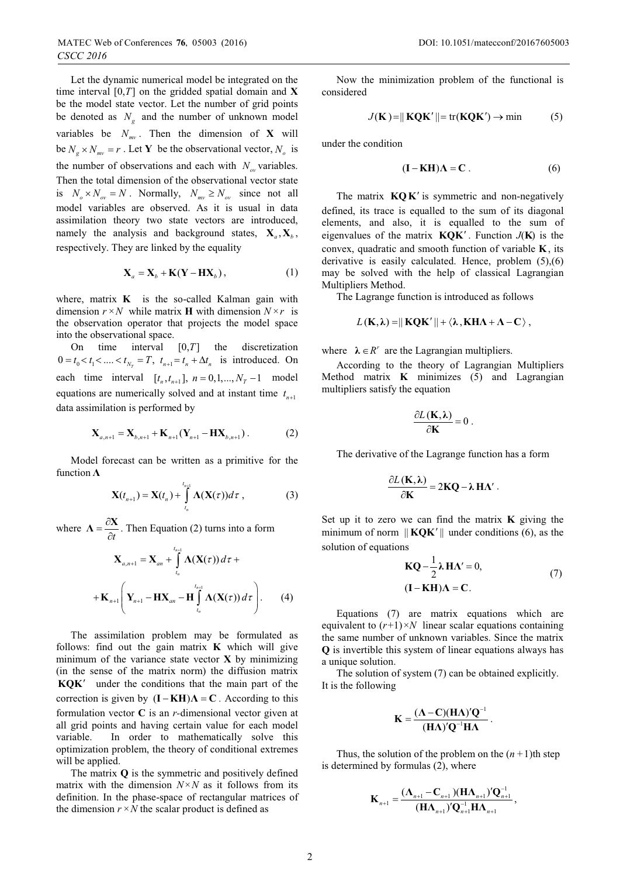Let the dynamic numerical model be integrated on the time interval [0,*T*] on the gridded spatial domain and **X**  be the model state vector. Let the number of grid points be denoted as  $N_e$  and the number of unknown model variables be  $N_{mv}$ . Then the dimension of **X** will be  $N_g \times N_{mv} = r$ . Let **Y** be the observational vector,  $N_o$  is the number of observations and each with  $N_{\infty}$  variables. Then the total dimension of the observational vector state is  $N_o \times N_{ov} = N$ . Normally,  $N_{mv} \ge N_{ov}$  since not all model variables are observed. As it is usual in data assimilation theory two state vectors are introduced, namely the analysis and background states,  $X_a, X_b$ , respectively. They are linked by the equality

$$
\mathbf{X}_a = \mathbf{X}_b + \mathbf{K} (\mathbf{Y} - \mathbf{H} \mathbf{X}_b), \tag{1}
$$

where, matrix **K** is the so-called Kalman gain with dimension  $r \times N$  while matrix **H** with dimension  $N \times r$  is the observation operator that projects the model space into the observational space.

On time interval [0,*T*] the discretization  $0 = t_0 < t_1 < ... < t_{N_n} = T$ ,  $t_{n+1} = t_n + \Delta t_n$  is introduced. On each time interval  $[t_n, t_{n+1}], n = 0, 1, ..., N_T - 1$  model equations are numerically solved and at instant time  $t_{n+1}$ data assimilation is performed by

$$
\mathbf{X}_{a,n+1} = \mathbf{X}_{b,n+1} + \mathbf{K}_{n+1} (\mathbf{Y}_{n+1} - \mathbf{H} \mathbf{X}_{b,n+1}).
$$
 (2)

Model forecast can be written as a primitive for the function  $\Lambda$ 

$$
\mathbf{X}(t_{n+1}) = \mathbf{X}(t_n) + \int_{t_n}^{t_{n+1}} \mathbf{\Lambda}(\mathbf{X}(\tau)) d\tau , \qquad (3)
$$

where  $\Lambda = \frac{\partial \mathbf{X}}{\partial t}$ . Then Equation (2) turns into a form

$$
\mathbf{X}_{a,n+1} = \mathbf{X}_{an} + \int_{t_n}^{t_{n+1}} \mathbf{\Lambda}(\mathbf{X}(\tau)) d\tau +
$$

$$
+ \mathbf{K}_{n+1} \left( \mathbf{Y}_{n+1} - \mathbf{H} \mathbf{X}_{an} - \mathbf{H} \int_{t_n}^{t_{n+1}} \mathbf{\Lambda}(\mathbf{X}(\tau)) d\tau \right). \tag{4}
$$

The assimilation problem may be formulated as follows: find out the gain matrix **K** which will give minimum of the variance state vector **X** by minimizing (in the sense of the matrix norm) the diffusion matrix **KQK** under the conditions that the main part of the correction is given by  $(I - KH) \Lambda = C$ . According to this formulation vector  $G$  is an *u* dimensional vector given at formulation vector **C** is an *r-*dimensional vector given at all grid points and having certain value for each model variable. In order to mathematically solve this optimization problem, the theory of conditional extremes will be applied.

The matrix **Q** is the symmetric and positively defined matrix with the dimension  $N \times N$  as it follows from its definition. In the phase-space of rectangular matrices of the dimension  $r \times N$  the scalar product is defined as

Now the minimization problem of the functional is considered

$$
J(\mathbf{K}) = ||\mathbf{KQK}'|| = \text{tr}(\mathbf{KQK}') \rightarrow \text{min}
$$
 (5)

under the condition

$$
(\mathbf{I} - \mathbf{KH})\Lambda = \mathbf{C} \,. \tag{6}
$$

The matrix  $KQK'$  is symmetric and non-negatively defined, its trace is equalled to the sum of its diagonal elements, and also, it is equalled to the sum of eigenvalues of the matrix  $KQK'$ . Function  $J(K)$  is the convex, quadratic and smooth function of variable **K** , its derivative is easily calculated. Hence, problem (5),(6) may be solved with the help of classical Lagrangian Multipliers Method.

The Lagrange function is introduced as follows

$$
L(K,\lambda) = || KQK' || + \langle \lambda, KHA + \Lambda - C \rangle,
$$

where  $\lambda \in R^r$  are the Lagrangian multipliers.

According to the theory of Lagrangian Multipliers Method matrix **K** minimizes (5) and Lagrangian multipliers satisfy the equation

$$
\frac{\partial L(\mathbf{K},\lambda)}{\partial \mathbf{K}}=0.
$$

The derivative of the Lagrange function has a form

$$
\frac{\partial L(\mathbf{K},\lambda)}{\partial \mathbf{K}} = 2\mathbf{KQ} - \lambda \mathbf{H}\Lambda'.
$$

Set up it to zero we can find the matrix **K** giving the minimum of norm  $\|$ **KOK'** $\|$  under conditions (6), as the solution of equations

$$
KQ - \frac{1}{2}\lambda H\Lambda' = 0,
$$
  
(I - KH) $\Lambda = C.$  (7)

Equations (7) are matrix equations which are equivalent to  $(r+1) \times N$  linear scalar equations containing the same number of unknown variables. Since the matrix **Q** is invertible this system of linear equations always has a unique solution.

The solution of system (7) can be obtained explicitly. It is the following

$$
K = \frac{(A - C)(H\Lambda)'Q^{-1}}{(H\Lambda)'Q^{-1}H\Lambda}.
$$

Thus, the solution of the problem on the  $(n+1)$ th step is determined by formulas (2), where

$$
\mathbf{K}_{n+1} = \frac{(\mathbf{\Lambda}_{n+1} - \mathbf{C}_{n+1})(\mathbf{H}\mathbf{\Lambda}_{n+1})'\mathbf{Q}_{n+1}^{-1}}{(\mathbf{H}\mathbf{\Lambda}_{n+1})'\mathbf{Q}_{n+1}^{-1}\mathbf{H}\mathbf{\Lambda}_{n+1}},
$$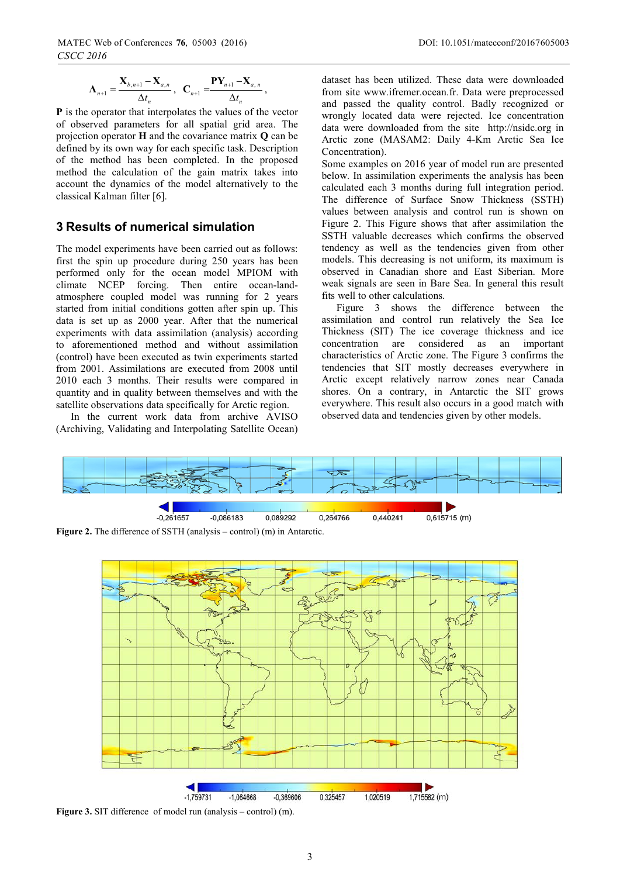$$
\boldsymbol{\Lambda}_{_{n+1}} = \frac{\mathbf{X}_{_{b,n+1}} - \mathbf{X}_{_{a,n}}}{\Delta t_{_n}}, \ \ \mathbf{C}_{_{n+1}} = \frac{\mathbf{P}\mathbf{Y}_{_{n+1}} - \mathbf{X}_{_{a,n}}}{\Delta t_{_n}},
$$

**P** is the operator that interpolates the values of the vector of observed parameters for all spatial grid area. The projection operator **H** and the covariance matrix **Q** can be defined by its own way for each specific task. Description of the method has been completed. In the proposed method the calculation of the gain matrix takes into account the dynamics of the model alternatively to the classical Kalman filter [6].

## **3 Results of numerical simulation**

The model experiments have been carried out as follows: first the spin up procedure during 250 years has been performed only for the ocean model MPIOM with climate NCEP forcing. Then entire ocean-landatmosphere coupled model was running for 2 years started from initial conditions gotten after spin up. This data is set up as 2000 year. After that the numerical experiments with data assimilation (analysis) according to aforementioned method and without assimilation (control) have been executed as twin experiments started from 2001. Assimilations are executed from 2008 until 2010 each 3 months. Their results were compared in quantity and in quality between themselves and with the satellite observations data specifically for Arctic region.

In the current work data from archive AVISO (Archiving, Validating and Interpolating Satellite Ocean)

dataset has been utilized. These data were downloaded from site www.ifremer.ocean.fr. Data were preprocessed and passed the quality control. Badly recognized or wrongly located data were rejected. Ice concentration data were downloaded from the site http://nsidc.org in Arctic zone (MASAM2: Daily 4-Km Arctic Sea Ice Concentration).

Some examples on 2016 year of model run are presented below. In assimilation experiments the analysis has been calculated each 3 months during full integration period. The difference of Surface Snow Thickness (SSTH) values between analysis and control run is shown on Figure 2. This Figure shows that after assimilation the SSTH valuable decreases which confirms the observed tendency as well as the tendencies given from other models. This decreasing is not uniform, its maximum is observed in Canadian shore and East Siberian. More weak signals are seen in Bare Sea. In general this result fits well to other calculations.

Figure 3 shows the difference between the assimilation and control run relatively the Sea Ice Thickness (SIT) The ice coverage thickness and ice concentration are considered as an important characteristics of Arctic zone. The Figure 3 confirms the tendencies that SIT mostly decreases everywhere in Arctic except relatively narrow zones near Canada shores. On a contrary, in Antarctic the SIT grows everywhere. This result also occurs in a good match with observed data and tendencies given by other models.



**Figure 2.** The difference of SSTH (analysis – control) (m) in Antarctic.



**Figure 3.** SIT difference of model run (analysis – control) (m).